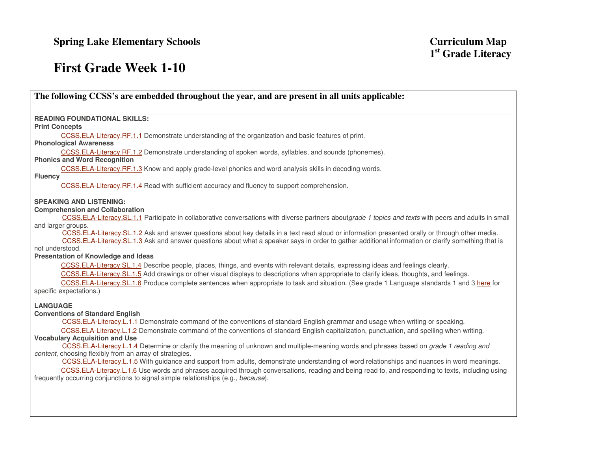# **First Grade Week 1-10**

| The following CCSS's are embedded throughout the year, and are present in all units applicable:                                                                                                                                                                                                                                                                                                                                                            |
|------------------------------------------------------------------------------------------------------------------------------------------------------------------------------------------------------------------------------------------------------------------------------------------------------------------------------------------------------------------------------------------------------------------------------------------------------------|
| <b>READING FOUNDATIONAL SKILLS:</b>                                                                                                                                                                                                                                                                                                                                                                                                                        |
| <b>Print Concepts</b>                                                                                                                                                                                                                                                                                                                                                                                                                                      |
| CCSS.ELA-Literacy.RF.1.1 Demonstrate understanding of the organization and basic features of print.<br><b>Phonological Awareness</b>                                                                                                                                                                                                                                                                                                                       |
| CCSS.ELA-Literacy.RF.1.2 Demonstrate understanding of spoken words, syllables, and sounds (phonemes).<br><b>Phonics and Word Recognition</b>                                                                                                                                                                                                                                                                                                               |
| CCSS.ELA-Literacy.RF.1.3 Know and apply grade-level phonics and word analysis skills in decoding words.                                                                                                                                                                                                                                                                                                                                                    |
| <b>Fluency</b><br>CCSS.ELA-Literacy.RF.1.4 Read with sufficient accuracy and fluency to support comprehension.                                                                                                                                                                                                                                                                                                                                             |
| <b>SPEAKING AND LISTENING:</b>                                                                                                                                                                                                                                                                                                                                                                                                                             |
| <b>Comprehension and Collaboration</b><br>CCSS.ELA-Literacy.SL.1.1 Participate in collaborative conversations with diverse partners aboutgrade 1 topics and texts with peers and adults in small                                                                                                                                                                                                                                                           |
| and larger groups.<br>CCSS.ELA-Literacy.SL.1.2 Ask and answer questions about key details in a text read aloud or information presented orally or through other media.<br>CCSS.ELA-Literacy.SL.1.3 Ask and answer questions about what a speaker says in order to gather additional information or clarify something that is                                                                                                                               |
| not understood.<br>Presentation of Knowledge and Ideas                                                                                                                                                                                                                                                                                                                                                                                                     |
| CCSS.ELA-Literacy.SL.1.4 Describe people, places, things, and events with relevant details, expressing ideas and feelings clearly.<br>CCSS.ELA-Literacy.SL.1.5 Add drawings or other visual displays to descriptions when appropriate to clarify ideas, thoughts, and feelings.<br>CCSS.ELA-Literacy.SL.1.6 Produce complete sentences when appropriate to task and situation. (See grade 1 Language standards 1 and 3 here for<br>specific expectations.) |
| <b>LANGUAGE</b>                                                                                                                                                                                                                                                                                                                                                                                                                                            |
| <b>Conventions of Standard English</b>                                                                                                                                                                                                                                                                                                                                                                                                                     |
| CCSS.ELA-Literacy.L.1.1 Demonstrate command of the conventions of standard English grammar and usage when writing or speaking.                                                                                                                                                                                                                                                                                                                             |
| CCSS.ELA-Literacy.L.1.2 Demonstrate command of the conventions of standard English capitalization, punctuation, and spelling when writing.                                                                                                                                                                                                                                                                                                                 |
| <b>Vocabulary Acquisition and Use</b><br>CCSS.ELA-Literacy.L.1.4 Determine or clarify the meaning of unknown and multiple-meaning words and phrases based on grade 1 reading and                                                                                                                                                                                                                                                                           |
| content, choosing flexibly from an array of strategies.                                                                                                                                                                                                                                                                                                                                                                                                    |
| CCSS.ELA-Literacy.L.1.5 With guidance and support from adults, demonstrate understanding of word relationships and nuances in word meanings.<br>CCSS.ELA-Literacy.L.1.6 Use words and phrases acquired through conversations, reading and being read to, and responding to texts, including using                                                                                                                                                          |
| frequently occurring conjunctions to signal simple relationships (e.g., because).                                                                                                                                                                                                                                                                                                                                                                          |
|                                                                                                                                                                                                                                                                                                                                                                                                                                                            |
|                                                                                                                                                                                                                                                                                                                                                                                                                                                            |
|                                                                                                                                                                                                                                                                                                                                                                                                                                                            |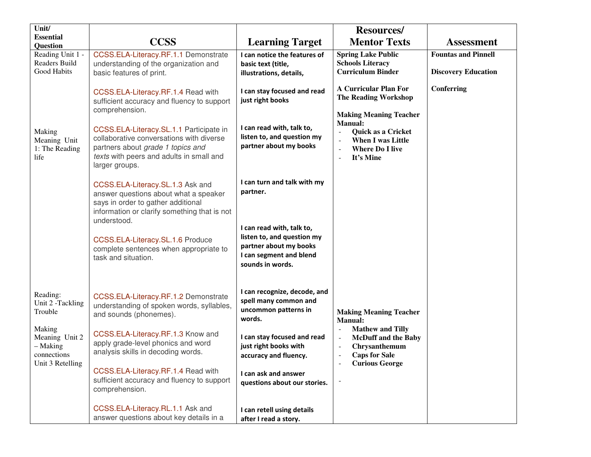| Unit/<br><b>Essential</b>                                               |                                                                                                                                                                                        |                                                                                                                                  | <b>Resources/</b>                                                                                                                                                                                                            |                                                          |
|-------------------------------------------------------------------------|----------------------------------------------------------------------------------------------------------------------------------------------------------------------------------------|----------------------------------------------------------------------------------------------------------------------------------|------------------------------------------------------------------------------------------------------------------------------------------------------------------------------------------------------------------------------|----------------------------------------------------------|
| Question                                                                | <b>CCSS</b>                                                                                                                                                                            | <b>Learning Target</b>                                                                                                           | <b>Mentor Texts</b>                                                                                                                                                                                                          | <b>Assessment</b>                                        |
| Reading Unit 1 -<br><b>Readers Build</b><br>Good Habits                 | CCSS.ELA-Literacy.RF.1.1 Demonstrate<br>understanding of the organization and<br>basic features of print.                                                                              | I can notice the features of<br>basic text (title,<br>illustrations, details,                                                    | <b>Spring Lake Public</b><br><b>Schools Literacy</b><br><b>Curriculum Binder</b>                                                                                                                                             | <b>Fountas and Pinnell</b><br><b>Discovery Education</b> |
|                                                                         | CCSS.ELA-Literacy.RF.1.4 Read with<br>sufficient accuracy and fluency to support<br>comprehension.                                                                                     | I can stay focused and read<br>just right books                                                                                  | <b>A Curricular Plan For</b><br><b>The Reading Workshop</b>                                                                                                                                                                  | Conferring                                               |
| Making<br>Meaning Unit<br>1: The Reading<br>life                        | CCSS.ELA-Literacy.SL.1.1 Participate in<br>collaborative conversations with diverse<br>partners about grade 1 topics and<br>texts with peers and adults in small and<br>larger groups. | I can read with, talk to,<br>listen to, and question my<br>partner about my books                                                | <b>Making Meaning Teacher</b><br><b>Manual:</b><br>Quick as a Cricket<br>$\overline{\phantom{a}}$<br><b>When I was Little</b><br><b>Where Do I live</b><br>$\overline{\phantom{a}}$<br>It's Mine<br>$\overline{\phantom{a}}$ |                                                          |
|                                                                         | CCSS.ELA-Literacy.SL.1.3 Ask and<br>answer questions about what a speaker<br>says in order to gather additional<br>information or clarify something that is not                        | I can turn and talk with my<br>partner.                                                                                          |                                                                                                                                                                                                                              |                                                          |
|                                                                         | understood.<br>CCSS.ELA-Literacy.SL.1.6 Produce<br>complete sentences when appropriate to<br>task and situation.                                                                       | I can read with, talk to,<br>listen to, and question my<br>partner about my books<br>I can segment and blend<br>sounds in words. |                                                                                                                                                                                                                              |                                                          |
| Reading:<br>Unit 2 -Tackling<br>Trouble                                 | CCSS.ELA-Literacy.RF.1.2 Demonstrate<br>understanding of spoken words, syllables,<br>and sounds (phonemes).                                                                            | I can recognize, decode, and<br>spell many common and<br>uncommon patterns in<br>words.                                          | <b>Making Meaning Teacher</b><br><b>Manual:</b>                                                                                                                                                                              |                                                          |
| Making<br>Meaning Unit 2<br>- Making<br>connections<br>Unit 3 Retelling | CCSS.ELA-Literacy.RF.1.3 Know and<br>apply grade-level phonics and word<br>analysis skills in decoding words.                                                                          | I can stay focused and read<br>just right books with<br>accuracy and fluency.                                                    | <b>Mathew and Tilly</b><br>$\sim$<br><b>McDuff and the Baby</b><br>$\sim$<br>Chrysanthemum<br>$\overline{\phantom{a}}$<br><b>Caps for Sale</b><br><b>Curious George</b>                                                      |                                                          |
|                                                                         | CCSS.ELA-Literacy.RF.1.4 Read with<br>sufficient accuracy and fluency to support<br>comprehension.                                                                                     | I can ask and answer<br>questions about our stories.                                                                             |                                                                                                                                                                                                                              |                                                          |
|                                                                         | CCSS.ELA-Literacy.RL.1.1 Ask and<br>answer questions about key details in a                                                                                                            | I can retell using details<br>after I read a story.                                                                              |                                                                                                                                                                                                                              |                                                          |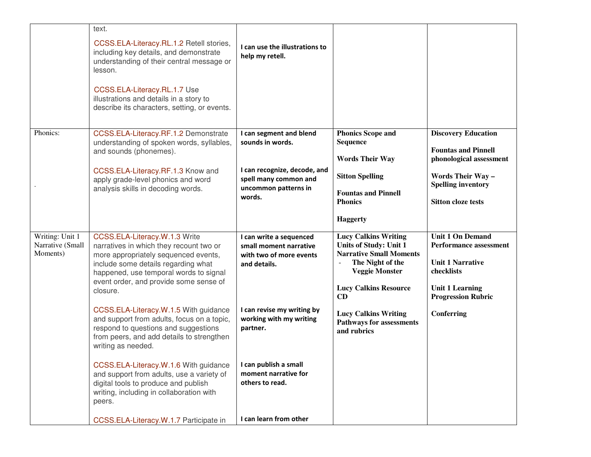|                                                 | text.                                                                                                                                                                                                                                       |                                                                                              |                                                                                                                                             |                                                                                                   |
|-------------------------------------------------|---------------------------------------------------------------------------------------------------------------------------------------------------------------------------------------------------------------------------------------------|----------------------------------------------------------------------------------------------|---------------------------------------------------------------------------------------------------------------------------------------------|---------------------------------------------------------------------------------------------------|
|                                                 | CCSS.ELA-Literacy.RL.1.2 Retell stories,<br>including key details, and demonstrate<br>understanding of their central message or<br>lesson.                                                                                                  | I can use the illustrations to<br>help my retell.                                            |                                                                                                                                             |                                                                                                   |
|                                                 | CCSS.ELA-Literacy.RL.1.7 Use<br>illustrations and details in a story to<br>describe its characters, setting, or events.                                                                                                                     |                                                                                              |                                                                                                                                             |                                                                                                   |
| Phonics:                                        | CCSS.ELA-Literacy.RF.1.2 Demonstrate<br>understanding of spoken words, syllables,                                                                                                                                                           | I can segment and blend<br>sounds in words.                                                  | <b>Phonics Scope and</b><br><b>Sequence</b>                                                                                                 | <b>Discovery Education</b>                                                                        |
|                                                 | and sounds (phonemes).                                                                                                                                                                                                                      |                                                                                              | <b>Words Their Way</b>                                                                                                                      | <b>Fountas and Pinnell</b><br>phonological assessment                                             |
|                                                 | CCSS.ELA-Literacy.RF.1.3 Know and<br>apply grade-level phonics and word                                                                                                                                                                     | I can recognize, decode, and<br>spell many common and                                        | <b>Sitton Spelling</b>                                                                                                                      | Words Their Way -<br><b>Spelling inventory</b>                                                    |
|                                                 | analysis skills in decoding words.                                                                                                                                                                                                          | uncommon patterns in<br>words.                                                               | <b>Fountas and Pinnell</b><br><b>Phonics</b>                                                                                                | <b>Sitton cloze tests</b>                                                                         |
|                                                 |                                                                                                                                                                                                                                             |                                                                                              | <b>Haggerty</b>                                                                                                                             |                                                                                                   |
| Writing: Unit 1<br>Narrative (Small<br>Moments) | CCSS.ELA-Literacy.W.1.3 Write<br>narratives in which they recount two or<br>more appropriately sequenced events,<br>include some details regarding what<br>happened, use temporal words to signal<br>event order, and provide some sense of | I can write a sequenced<br>small moment narrative<br>with two of more events<br>and details. | <b>Lucy Calkins Writing</b><br><b>Units of Study: Unit 1</b><br><b>Narrative Small Moments</b><br>The Night of the<br><b>Veggie Monster</b> | <b>Unit 1 On Demand</b><br><b>Performance assessment</b><br><b>Unit 1 Narrative</b><br>checklists |
|                                                 | closure.                                                                                                                                                                                                                                    |                                                                                              | <b>Lucy Calkins Resource</b><br>CD                                                                                                          | <b>Unit 1 Learning</b><br><b>Progression Rubric</b>                                               |
|                                                 | CCSS.ELA-Literacy.W.1.5 With guidance<br>and support from adults, focus on a topic,<br>respond to questions and suggestions<br>from peers, and add details to strengthen<br>writing as needed.                                              | I can revise my writing by<br>working with my writing<br>partner.                            | <b>Lucy Calkins Writing</b><br><b>Pathways for assessments</b><br>and rubrics                                                               | Conferring                                                                                        |
|                                                 | CCSS.ELA-Literacy.W.1.6 With guidance<br>and support from adults, use a variety of<br>digital tools to produce and publish<br>writing, including in collaboration with<br>peers.                                                            | I can publish a small<br>moment narrative for<br>others to read.                             |                                                                                                                                             |                                                                                                   |
|                                                 | CCSS.ELA-Literacy.W.1.7 Participate in                                                                                                                                                                                                      | I can learn from other                                                                       |                                                                                                                                             |                                                                                                   |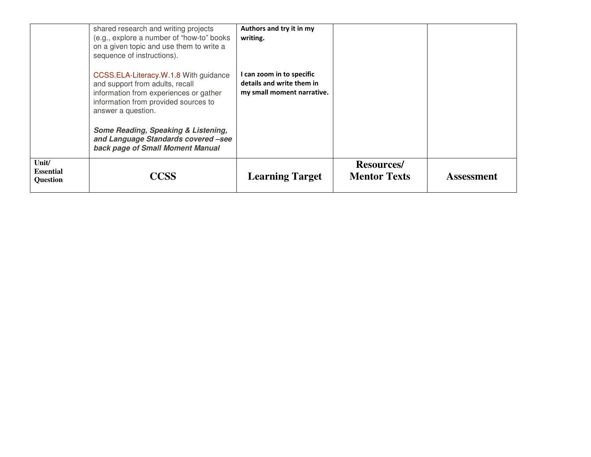|       | shared research and writing projects<br>(e.g., explore a number of "how-to" books<br>on a given topic and use them to write a<br>sequence of instructions).                      | Authors and try it in my<br>writing.                                                 |                                           |                   |
|-------|----------------------------------------------------------------------------------------------------------------------------------------------------------------------------------|--------------------------------------------------------------------------------------|-------------------------------------------|-------------------|
|       | CCSS.ELA-Literacy.W.1.8 With guidance<br>and support from adults, recall<br>information from experiences or gather<br>information from provided sources to<br>answer a question. | I can zoom in to specific<br>details and write them in<br>my small moment narrative. |                                           |                   |
|       | Some Reading, Speaking & Listening,<br>and Language Standards covered -see<br>back page of Small Moment Manual                                                                   |                                                                                      |                                           |                   |
| Unit/ | <b>Essential</b><br>CCSS<br><b>Question</b>                                                                                                                                      | <b>Learning Target</b>                                                               | <b>Resources</b> /<br><b>Mentor Texts</b> | <b>Assessment</b> |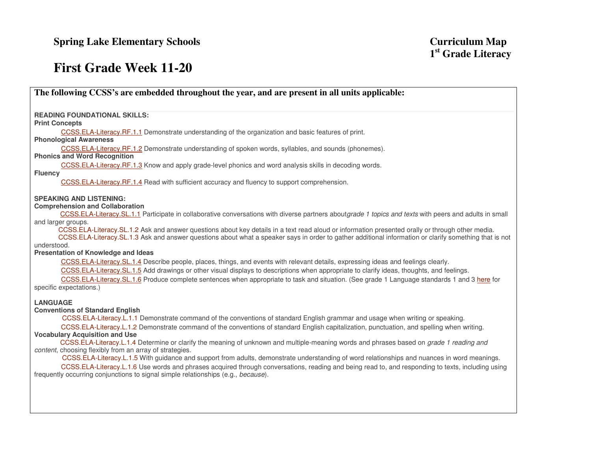## **First Grade Week 11-20**

**The following CCSS's are embedded throughout the year, and are present in all units applicable: READING FOUNDATIONAL SKILLS: Print Concepts** CCSS.ELA-Literacy.RF.1.1 Demonstrate understanding of the organization and basic features of print. **Phonological Awareness** CCSS.ELA-Literacy.RF.1.2 Demonstrate understanding of spoken words, syllables, and sounds (phonemes). **Phonics and Word Recognition** CCSS.ELA-Literacy.RF.1.3 Know and apply grade-level phonics and word analysis skills in decoding words. **Fluency** CCSS.ELA-Literacy.RF.1.4 Read with sufficient accuracy and fluency to support comprehension.

**SPEAKING AND LISTENING:** 

#### **Comprehension and Collaboration**

CCSS.ELA-Literacy.SL.1.1 Participate in collaborative conversations with diverse partners aboutgrade 1 topics and texts with peers and adults in small and larger groups.

 CCSS.ELA-Literacy.SL.1.2 Ask and answer questions about key details in a text read aloud or information presented orally or through other media. CCSS.ELA-Literacy.SL.1.3 Ask and answer questions about what a speaker says in order to gather additional information or clarify something that is not understood.

#### **Presentation of Knowledge and Ideas**

CCSS.ELA-Literacy.SL.1.4 Describe people, places, things, and events with relevant details, expressing ideas and feelings clearly.

CCSS.ELA-Literacy.SL.1.5 Add drawings or other visual displays to descriptions when appropriate to clarify ideas, thoughts, and feelings.

CCSS.ELA-Literacy.SL.1.6 Produce complete sentences when appropriate to task and situation. (See grade 1 Language standards 1 and 3 here for specific expectations.)

#### **LANGUAGE**

#### **Conventions of Standard English**

CCSS.ELA-Literacy.L.1.1 Demonstrate command of the conventions of standard English grammar and usage when writing or speaking.

 CCSS.ELA-Literacy.L.1.2 Demonstrate command of the conventions of standard English capitalization, punctuation, and spelling when writing. **Vocabulary Acquisition and Use** 

CCSS.ELA-Literacy.L.1.4 Determine or clarify the meaning of unknown and multiple-meaning words and phrases based on grade 1 reading and content, choosing flexibly from an array of strategies.

 CCSS.ELA-Literacy.L.1.5 With guidance and support from adults, demonstrate understanding of word relationships and nuances in word meanings. CCSS.ELA-Literacy.L.1.6 Use words and phrases acquired through conversations, reading and being read to, and responding to texts, including using frequently occurring conjunctions to signal simple relationships (e.g., because).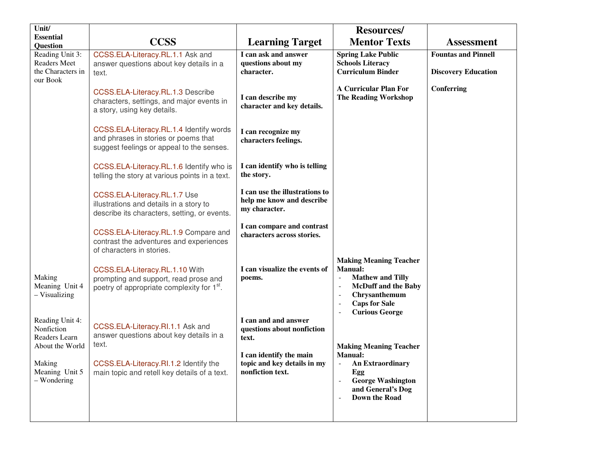| Unit/                                                                                                        |                                                                                                                                                                               |                                                                                                                                           | <b>Resources/</b>                                                                                                                                                          |                                                          |
|--------------------------------------------------------------------------------------------------------------|-------------------------------------------------------------------------------------------------------------------------------------------------------------------------------|-------------------------------------------------------------------------------------------------------------------------------------------|----------------------------------------------------------------------------------------------------------------------------------------------------------------------------|----------------------------------------------------------|
| <b>Essential</b><br><b>Question</b>                                                                          | <b>CCSS</b>                                                                                                                                                                   | <b>Learning Target</b>                                                                                                                    | <b>Mentor Texts</b>                                                                                                                                                        | <b>Assessment</b>                                        |
| Reading Unit 3:<br><b>Readers Meet</b><br>the Characters in<br>our Book                                      | CCSS.ELA-Literacy.RL.1.1 Ask and<br>answer questions about key details in a<br>text.                                                                                          | I can ask and answer<br>questions about my<br>character.                                                                                  | <b>Spring Lake Public</b><br><b>Schools Literacy</b><br><b>Curriculum Binder</b>                                                                                           | <b>Fountas and Pinnell</b><br><b>Discovery Education</b> |
|                                                                                                              | CCSS.ELA-Literacy.RL.1.3 Describe<br>characters, settings, and major events in<br>a story, using key details.                                                                 | I can describe my<br>character and key details.                                                                                           | <b>A Curricular Plan For</b><br><b>The Reading Workshop</b>                                                                                                                | Conferring                                               |
|                                                                                                              | CCSS.ELA-Literacy.RL.1.4 Identify words<br>and phrases in stories or poems that<br>suggest feelings or appeal to the senses.                                                  | I can recognize my<br>characters feelings.                                                                                                |                                                                                                                                                                            |                                                          |
|                                                                                                              | CCSS.ELA-Literacy.RL.1.6 Identify who is<br>telling the story at various points in a text.                                                                                    | I can identify who is telling<br>the story.                                                                                               |                                                                                                                                                                            |                                                          |
|                                                                                                              | CCSS.ELA-Literacy.RL.1.7 Use<br>illustrations and details in a story to<br>describe its characters, setting, or events.                                                       | I can use the illustrations to<br>help me know and describe<br>my character.                                                              |                                                                                                                                                                            |                                                          |
|                                                                                                              | CCSS.ELA-Literacy.RL.1.9 Compare and<br>contrast the adventures and experiences<br>of characters in stories.                                                                  | I can compare and contrast<br>characters across stories.                                                                                  |                                                                                                                                                                            |                                                          |
| Making<br>Meaning Unit 4<br>- Visualizing                                                                    | CCSS.ELA-Literacy.RL.1.10 With<br>prompting and support, read prose and<br>poetry of appropriate complexity for 1 <sup>st</sup> .                                             | I can visualize the events of<br>poems.                                                                                                   | <b>Making Meaning Teacher</b><br><b>Manual:</b><br><b>Mathew and Tilly</b><br><b>McDuff and the Baby</b><br>Chrysanthemum<br><b>Caps for Sale</b><br><b>Curious George</b> |                                                          |
| Reading Unit 4:<br>Nonfiction<br>Readers Learn<br>About the World<br>Making<br>Meaning Unit 5<br>- Wondering | CCSS.ELA-Literacy.RI.1.1 Ask and<br>answer questions about key details in a<br>text.<br>CCSS.ELA-Literacy.RI.1.2 Identify the<br>main topic and retell key details of a text. | I can and and answer<br>questions about nonfiction<br>text.<br>I can identify the main<br>topic and key details in my<br>nonfiction text. | <b>Making Meaning Teacher</b><br><b>Manual:</b><br><b>An Extraordinary</b><br>Egg<br><b>George Washington</b><br>and General's Dog<br><b>Down the Road</b>                 |                                                          |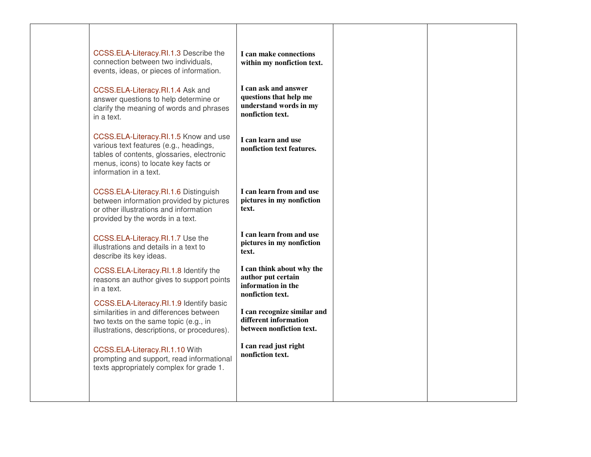| CCSS.ELA-Literacy.RI.1.3 Describe the<br>connection between two individuals,<br>events, ideas, or pieces of information.                                                                        | I can make connections<br>within my nonfiction text.                                         |
|-------------------------------------------------------------------------------------------------------------------------------------------------------------------------------------------------|----------------------------------------------------------------------------------------------|
| CCSS.ELA-Literacy.RI.1.4 Ask and<br>answer questions to help determine or<br>clarify the meaning of words and phrases<br>in a text.                                                             | I can ask and answer<br>questions that help me<br>understand words in my<br>nonfiction text. |
| CCSS.ELA-Literacy.RI.1.5 Know and use<br>various text features (e.g., headings,<br>tables of contents, glossaries, electronic<br>menus, icons) to locate key facts or<br>information in a text. | I can learn and use<br>nonfiction text features.                                             |
| CCSS.ELA-Literacy.RI.1.6 Distinguish<br>between information provided by pictures<br>or other illustrations and information<br>provided by the words in a text.                                  | I can learn from and use<br>pictures in my nonfiction<br>text.                               |
| CCSS.ELA-Literacy.RI.1.7 Use the<br>illustrations and details in a text to<br>describe its key ideas.                                                                                           | I can learn from and use<br>pictures in my nonfiction<br>text.                               |
| CCSS.ELA-Literacy.RI.1.8 Identify the<br>reasons an author gives to support points<br>in a text.                                                                                                | I can think about why the<br>author put certain<br>information in the<br>nonfiction text.    |
| CCSS.ELA-Literacy.RI.1.9 Identify basic<br>similarities in and differences between<br>two texts on the same topic (e.g., in<br>illustrations, descriptions, or procedures).                     | I can recognize similar and<br>different information<br>between nonfiction text.             |
| CCSS.ELA-Literacy.RI.1.10 With<br>prompting and support, read informational<br>texts appropriately complex for grade 1.                                                                         | I can read just right<br>nonfiction text.                                                    |
|                                                                                                                                                                                                 |                                                                                              |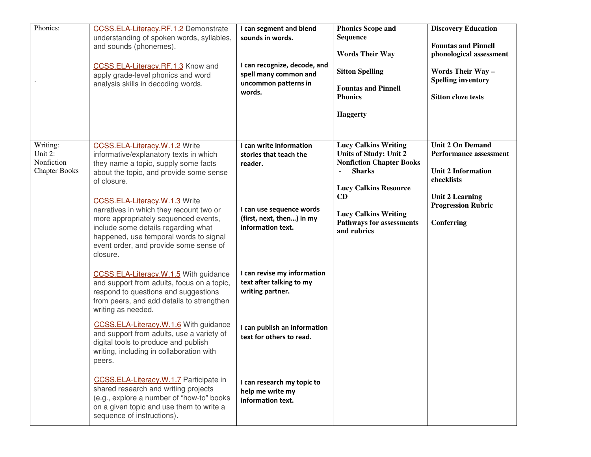| Phonics:                                                                       | CCSS.ELA-Literacy.RF.1.2 Demonstrate<br>understanding of spoken words, syllables,<br>and sounds (phonemes).<br>CCSS.ELA-Literacy.RF.1.3 Know and<br>apply grade-level phonics and word<br>analysis skills in decoding words.                                                                                                                                                                                                         | I can segment and blend<br>sounds in words.<br>I can recognize, decode, and<br>spell many common and<br>uncommon patterns in<br>words.     | <b>Phonics Scope and</b><br><b>Sequence</b><br><b>Words Their Way</b><br><b>Sitton Spelling</b><br><b>Fountas and Pinnell</b><br><b>Phonics</b><br><b>Haggerty</b>                                                                      | <b>Discovery Education</b><br><b>Fountas and Pinnell</b><br>phonological assessment<br><b>Words Their Way -</b><br><b>Spelling inventory</b><br><b>Sitton cloze tests</b> |
|--------------------------------------------------------------------------------|--------------------------------------------------------------------------------------------------------------------------------------------------------------------------------------------------------------------------------------------------------------------------------------------------------------------------------------------------------------------------------------------------------------------------------------|--------------------------------------------------------------------------------------------------------------------------------------------|-----------------------------------------------------------------------------------------------------------------------------------------------------------------------------------------------------------------------------------------|---------------------------------------------------------------------------------------------------------------------------------------------------------------------------|
| $\overline{\text{W}}$ riting:<br>Unit 2:<br>Nonfiction<br><b>Chapter Books</b> | CCSS.ELA-Literacy.W.1.2 Write<br>informative/explanatory texts in which<br>they name a topic, supply some facts<br>about the topic, and provide some sense<br>of closure.<br>CCSS.ELA-Literacy.W.1.3 Write<br>narratives in which they recount two or<br>more appropriately sequenced events,<br>include some details regarding what<br>happened, use temporal words to signal<br>event order, and provide some sense of<br>closure. | I can write information<br>stories that teach the<br>reader.<br>I can use sequence words<br>(first, next, then) in my<br>information text. | <b>Lucy Calkins Writing</b><br><b>Units of Study: Unit 2</b><br><b>Nonfiction Chapter Books</b><br><b>Sharks</b><br><b>Lucy Calkins Resource</b><br>CD<br><b>Lucy Calkins Writing</b><br><b>Pathways for assessments</b><br>and rubrics | <b>Unit 2 On Demand</b><br><b>Performance assessment</b><br><b>Unit 2 Information</b><br>checklists<br><b>Unit 2 Learning</b><br><b>Progression Rubric</b><br>Conferring  |
|                                                                                | CCSS.ELA-Literacy.W.1.5 With guidance<br>and support from adults, focus on a topic,<br>respond to questions and suggestions<br>from peers, and add details to strengthen<br>writing as needed.                                                                                                                                                                                                                                       | I can revise my information<br>text after talking to my<br>writing partner.                                                                |                                                                                                                                                                                                                                         |                                                                                                                                                                           |
|                                                                                | CCSS.ELA-Literacy.W.1.6 With guidance<br>and support from adults, use a variety of<br>digital tools to produce and publish<br>writing, including in collaboration with<br>peers.                                                                                                                                                                                                                                                     | I can publish an information<br>text for others to read.                                                                                   |                                                                                                                                                                                                                                         |                                                                                                                                                                           |
|                                                                                | CCSS.ELA-Literacy.W.1.7 Participate in<br>shared research and writing projects<br>(e.g., explore a number of "how-to" books<br>on a given topic and use them to write a<br>sequence of instructions).                                                                                                                                                                                                                                | I can research my topic to<br>help me write my<br>information text.                                                                        |                                                                                                                                                                                                                                         |                                                                                                                                                                           |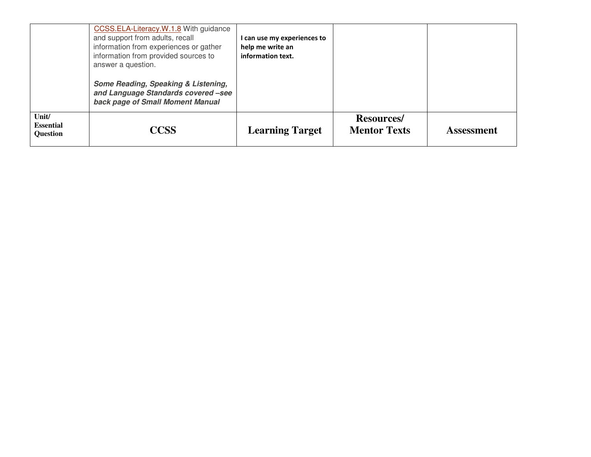|                                                      | CCSS.ELA-Literacy.W.1.8 With guidance<br>and support from adults, recall<br>information from experiences or gather<br>information from provided sources to<br>answer a question. | I can use my experiences to<br>help me write an<br>information text. |                                           |                   |
|------------------------------------------------------|----------------------------------------------------------------------------------------------------------------------------------------------------------------------------------|----------------------------------------------------------------------|-------------------------------------------|-------------------|
|                                                      | Some Reading, Speaking & Listening,<br>and Language Standards covered -see<br>back page of Small Moment Manual                                                                   |                                                                      |                                           |                   |
| $\text{Unit}$<br><b>Essential</b><br><b>Question</b> | <b>CCSS</b>                                                                                                                                                                      | <b>Learning Target</b>                                               | <b>Resources</b> /<br><b>Mentor Texts</b> | <b>Assessment</b> |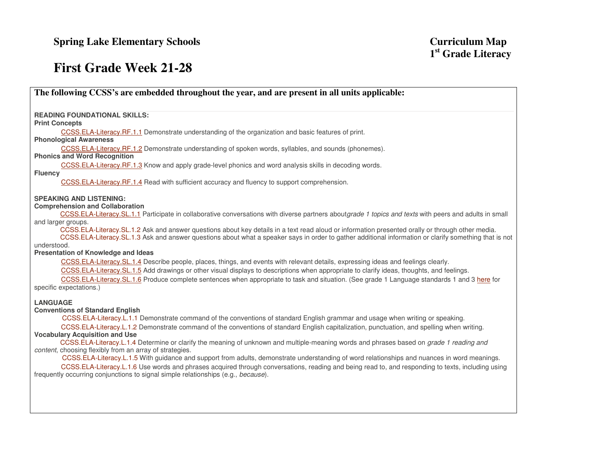## **First Grade Week 21-28**

**The following CCSS's are embedded throughout the year, and are present in all units applicable:** 

**READING FOUNDATIONAL SKILLS:** 

#### **Print Concepts**

CCSS.ELA-Literacy.RF.1.1 Demonstrate understanding of the organization and basic features of print.

## **Phonological Awareness**

CCSS.ELA-Literacy.RF.1.2 Demonstrate understanding of spoken words, syllables, and sounds (phonemes).

## **Phonics and Word Recognition**

CCSS.ELA-Literacy.RF.1.3 Know and apply grade-level phonics and word analysis skills in decoding words.

#### **Fluency**

CCSS.ELA-Literacy.RF.1.4 Read with sufficient accuracy and fluency to support comprehension.

## **SPEAKING AND LISTENING:**

### **Comprehension and Collaboration**

CCSS.ELA-Literacy.SL.1.1 Participate in collaborative conversations with diverse partners aboutgrade 1 topics and texts with peers and adults in small and larger groups.

 CCSS.ELA-Literacy.SL.1.2 Ask and answer questions about key details in a text read aloud or information presented orally or through other media. CCSS.ELA-Literacy.SL.1.3 Ask and answer questions about what a speaker says in order to gather additional information or clarify something that is not understood.

## **Presentation of Knowledge and Ideas**

CCSS.ELA-Literacy.SL.1.4 Describe people, places, things, and events with relevant details, expressing ideas and feelings clearly.

CCSS.ELA-Literacy.SL.1.5 Add drawings or other visual displays to descriptions when appropriate to clarify ideas, thoughts, and feelings.

CCSS.ELA-Literacy.SL.1.6 Produce complete sentences when appropriate to task and situation. (See grade 1 Language standards 1 and 3 here for specific expectations.)

## **LANGUAGE**

## **Conventions of Standard English**

CCSS.ELA-Literacy.L.1.1 Demonstrate command of the conventions of standard English grammar and usage when writing or speaking.

 CCSS.ELA-Literacy.L.1.2 Demonstrate command of the conventions of standard English capitalization, punctuation, and spelling when writing. **Vocabulary Acquisition and Use** 

CCSS.ELA-Literacy.L.1.4 Determine or clarify the meaning of unknown and multiple-meaning words and phrases based on grade 1 reading and content, choosing flexibly from an array of strategies.

 CCSS.ELA-Literacy.L.1.5 With guidance and support from adults, demonstrate understanding of word relationships and nuances in word meanings. CCSS.ELA-Literacy.L.1.6 Use words and phrases acquired through conversations, reading and being read to, and responding to texts, including using frequently occurring conjunctions to signal simple relationships (e.g., because).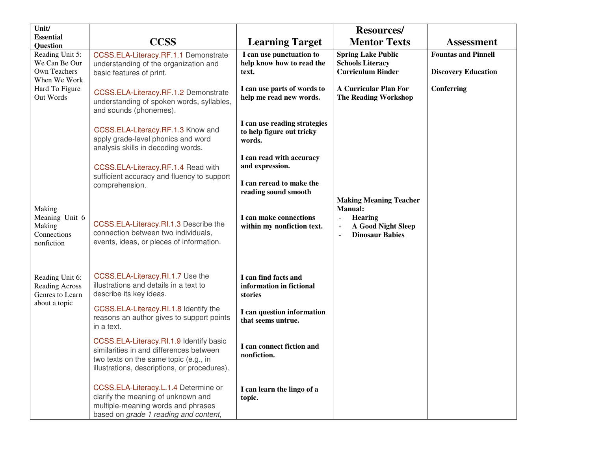| Unit/                                                                   |                                                                                                                                                                             |                                                                     | <b>Resources/</b>                                                                                                                                |                                                          |
|-------------------------------------------------------------------------|-----------------------------------------------------------------------------------------------------------------------------------------------------------------------------|---------------------------------------------------------------------|--------------------------------------------------------------------------------------------------------------------------------------------------|----------------------------------------------------------|
| <b>Essential</b><br><b>Question</b>                                     | <b>CCSS</b>                                                                                                                                                                 | <b>Learning Target</b>                                              | <b>Mentor Texts</b>                                                                                                                              | <b>Assessment</b>                                        |
| Reading Unit 5:<br>We Can Be Our<br><b>Own Teachers</b><br>When We Work | CCSS.ELA-Literacy.RF.1.1 Demonstrate<br>understanding of the organization and<br>basic features of print.                                                                   | I can use punctuation to<br>help know how to read the<br>text.      | <b>Spring Lake Public</b><br><b>Schools Literacy</b><br><b>Curriculum Binder</b>                                                                 | <b>Fountas and Pinnell</b><br><b>Discovery Education</b> |
| Hard To Figure<br>Out Words                                             | CCSS.ELA-Literacy.RF.1.2 Demonstrate<br>understanding of spoken words, syllables,<br>and sounds (phonemes).                                                                 | I can use parts of words to<br>help me read new words.              | <b>A Curricular Plan For</b><br><b>The Reading Workshop</b>                                                                                      | Conferring                                               |
|                                                                         | CCSS.ELA-Literacy.RF.1.3 Know and<br>apply grade-level phonics and word<br>analysis skills in decoding words.                                                               | I can use reading strategies<br>to help figure out tricky<br>words. |                                                                                                                                                  |                                                          |
|                                                                         | CCSS.ELA-Literacy.RF.1.4 Read with                                                                                                                                          | I can read with accuracy<br>and expression.                         |                                                                                                                                                  |                                                          |
|                                                                         | sufficient accuracy and fluency to support<br>comprehension.                                                                                                                | I can reread to make the<br>reading sound smooth                    | <b>Making Meaning Teacher</b>                                                                                                                    |                                                          |
| Making<br>Meaning Unit 6<br>Making<br>Connections<br>nonfiction         | CCSS.ELA-Literacy.RI.1.3 Describe the<br>connection between two individuals,<br>events, ideas, or pieces of information.                                                    | I can make connections<br>within my nonfiction text.                | <b>Manual:</b><br><b>Hearing</b><br>$\overline{\phantom{a}}$<br>A Good Night Sleep<br>$\overline{a}$<br><b>Dinosaur Babies</b><br>$\overline{a}$ |                                                          |
| Reading Unit 6:<br>Reading Across<br>Genres to Learn                    | CCSS.ELA-Literacy.RI.1.7 Use the<br>illustrations and details in a text to<br>describe its key ideas.                                                                       | I can find facts and<br>information in fictional<br>stories         |                                                                                                                                                  |                                                          |
| about a topic                                                           | CCSS.ELA-Literacy.RI.1.8 Identify the<br>reasons an author gives to support points<br>in a text.                                                                            | I can question information<br>that seems untrue.                    |                                                                                                                                                  |                                                          |
|                                                                         | CCSS.ELA-Literacy.RI.1.9 Identify basic<br>similarities in and differences between<br>two texts on the same topic (e.g., in<br>illustrations, descriptions, or procedures). | I can connect fiction and<br>nonfiction.                            |                                                                                                                                                  |                                                          |
|                                                                         | CCSS.ELA-Literacy.L.1.4 Determine or<br>clarify the meaning of unknown and<br>multiple-meaning words and phrases<br>based on grade 1 reading and content,                   | I can learn the lingo of a<br>topic.                                |                                                                                                                                                  |                                                          |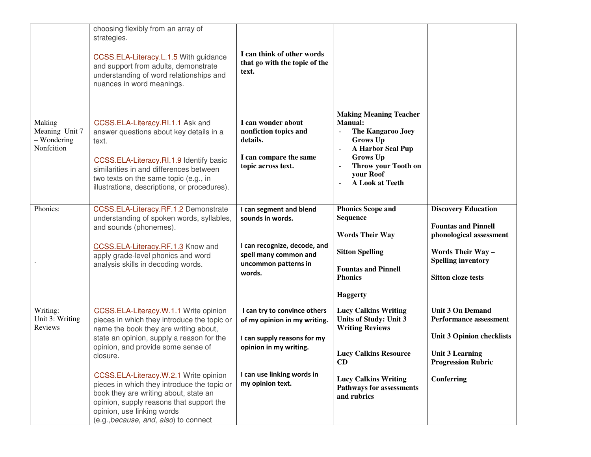|                                                       | choosing flexibly from an array of<br>strategies.<br>CCSS.ELA-Literacy.L.1.5 With guidance<br>and support from adults, demonstrate<br>understanding of word relationships and<br>nuances in word meanings.                                                                                                                                                                                                                                                                       | I can think of other words<br>that go with the topic of the<br>text.                                                                                                    |                                                                                                                                                                                                               |                                                                                                                                                                          |
|-------------------------------------------------------|----------------------------------------------------------------------------------------------------------------------------------------------------------------------------------------------------------------------------------------------------------------------------------------------------------------------------------------------------------------------------------------------------------------------------------------------------------------------------------|-------------------------------------------------------------------------------------------------------------------------------------------------------------------------|---------------------------------------------------------------------------------------------------------------------------------------------------------------------------------------------------------------|--------------------------------------------------------------------------------------------------------------------------------------------------------------------------|
| Making<br>Meaning Unit 7<br>- Wondering<br>Nonfcition | CCSS.ELA-Literacy.RI.1.1 Ask and<br>answer questions about key details in a<br>text.<br>CCSS.ELA-Literacy.RI.1.9 Identify basic<br>similarities in and differences between<br>two texts on the same topic (e.g., in<br>illustrations, descriptions, or procedures).                                                                                                                                                                                                              | I can wonder about<br>nonfiction topics and<br>details.<br>I can compare the same<br>topic across text.                                                                 | <b>Making Meaning Teacher</b><br><b>Manual:</b><br>The Kangaroo Joey<br>$\sim$<br><b>Grows Up</b><br>A Harbor Seal Pup<br>Grows Up<br>Throw your Tooth on<br>your Roof<br><b>A Look at Teeth</b><br>$\equiv$  |                                                                                                                                                                          |
| Phonics:                                              | CCSS.ELA-Literacy.RF.1.2 Demonstrate<br>understanding of spoken words, syllables,<br>and sounds (phonemes).<br>CCSS.ELA-Literacy.RF.1.3 Know and<br>apply grade-level phonics and word<br>analysis skills in decoding words.                                                                                                                                                                                                                                                     | I can segment and blend<br>sounds in words.<br>I can recognize, decode, and<br>spell many common and<br>uncommon patterns in<br>words.                                  | <b>Phonics Scope and</b><br><b>Sequence</b><br><b>Words Their Way</b><br><b>Sitton Spelling</b><br><b>Fountas and Pinnell</b><br><b>Phonics</b><br><b>Haggerty</b>                                            | <b>Discovery Education</b><br><b>Fountas and Pinnell</b><br>phonological assessment<br><b>Words Their Way-</b><br><b>Spelling inventory</b><br><b>Sitton cloze tests</b> |
| Writing:<br>Unit 3: Writing<br>Reviews                | CCSS.ELA-Literacy.W.1.1 Write opinion<br>pieces in which they introduce the topic or<br>name the book they are writing about,<br>state an opinion, supply a reason for the<br>opinion, and provide some sense of<br>closure.<br>CCSS.ELA-Literacy.W.2.1 Write opinion<br>pieces in which they introduce the topic or<br>book they are writing about, state an<br>opinion, supply reasons that support the<br>opinion, use linking words<br>(e.g., because, and, also) to connect | I can try to convince others<br>of my opinion in my writing.<br>I can supply reasons for my<br>opinion in my writing.<br>I can use linking words in<br>my opinion text. | <b>Lucy Calkins Writing</b><br><b>Units of Study: Unit 3</b><br><b>Writing Reviews</b><br><b>Lucy Calkins Resource</b><br>CD<br><b>Lucy Calkins Writing</b><br><b>Pathways for assessments</b><br>and rubrics | <b>Unit 3 On Demand</b><br>Performance assessment<br><b>Unit 3 Opinion checklists</b><br><b>Unit 3 Learning</b><br><b>Progression Rubric</b><br><b>Conferring</b>        |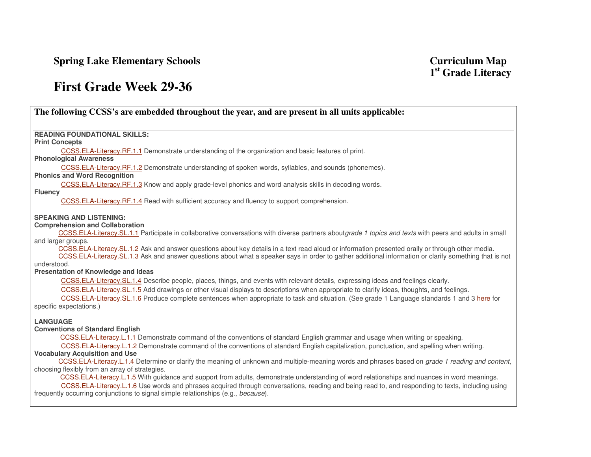**Spring Lake Elementary Schools** 

# **First Grade Week 29-36**

| The following CCSS's are embedded throughout the year, and are present in all units applicable:                                                                                           |
|-------------------------------------------------------------------------------------------------------------------------------------------------------------------------------------------|
|                                                                                                                                                                                           |
| <b>READING FOUNDATIONAL SKILLS:</b>                                                                                                                                                       |
| <b>Print Concepts</b>                                                                                                                                                                     |
| CCSS.ELA-Literacy.RF.1.1 Demonstrate understanding of the organization and basic features of print.<br><b>Phonological Awareness</b>                                                      |
| CCSS.ELA-Literacy.RF.1.2 Demonstrate understanding of spoken words, syllables, and sounds (phonemes).                                                                                     |
| <b>Phonics and Word Recognition</b>                                                                                                                                                       |
| CCSS.ELA-Literacy.RF.1.3 Know and apply grade-level phonics and word analysis skills in decoding words.                                                                                   |
| <b>Fluency</b><br>CCSS.ELA-Literacy.RF.1.4 Read with sufficient accuracy and fluency to support comprehension.                                                                            |
|                                                                                                                                                                                           |
| <b>SPEAKING AND LISTENING:</b>                                                                                                                                                            |
| <b>Comprehension and Collaboration</b>                                                                                                                                                    |
| CCSS.ELA-Literacy.SL.1.1 Participate in collaborative conversations with diverse partners aboutgrade 1 topics and texts with peers and adults in small<br>and larger groups.              |
| CCSS.ELA-Literacy.SL.1.2 Ask and answer questions about key details in a text read aloud or information presented orally or through other media.                                          |
| CCSS.ELA-Literacy.SL.1.3 Ask and answer questions about what a speaker says in order to gather additional information or clarify something that is not                                    |
| understood.<br>Presentation of Knowledge and Ideas                                                                                                                                        |
| CCSS.ELA-Literacy.SL.1.4 Describe people, places, things, and events with relevant details, expressing ideas and feelings clearly.                                                        |
| CCSS.ELA-Literacy.SL.1.5 Add drawings or other visual displays to descriptions when appropriate to clarify ideas, thoughts, and feelings.                                                 |
| CCSS.ELA-Literacy.SL.1.6 Produce complete sentences when appropriate to task and situation. (See grade 1 Language standards 1 and 3 here for                                              |
| specific expectations.)                                                                                                                                                                   |
| <b>LANGUAGE</b>                                                                                                                                                                           |
| <b>Conventions of Standard English</b>                                                                                                                                                    |
| CCSS.ELA-Literacy.L.1.1 Demonstrate command of the conventions of standard English grammar and usage when writing or speaking.                                                            |
| CCSS.ELA-Literacy.L.1.2 Demonstrate command of the conventions of standard English capitalization, punctuation, and spelling when writing.                                                |
| <b>Vocabulary Acquisition and Use</b><br>CCSS.ELA-Literacy.L.1.4 Determine or clarify the meaning of unknown and multiple-meaning words and phrases based on grade 1 reading and content, |
| choosing flexibly from an array of strategies.                                                                                                                                            |
| CCSS.ELA-Literacy.L.1.5 With guidance and support from adults, demonstrate understanding of word relationships and nuances in word meanings.                                              |
| CCSS.ELA-Literacy.L.1.6 Use words and phrases acquired through conversations, reading and being read to, and responding to texts, including using                                         |
| frequently occurring conjunctions to signal simple relationships (e.g., because).                                                                                                         |
|                                                                                                                                                                                           |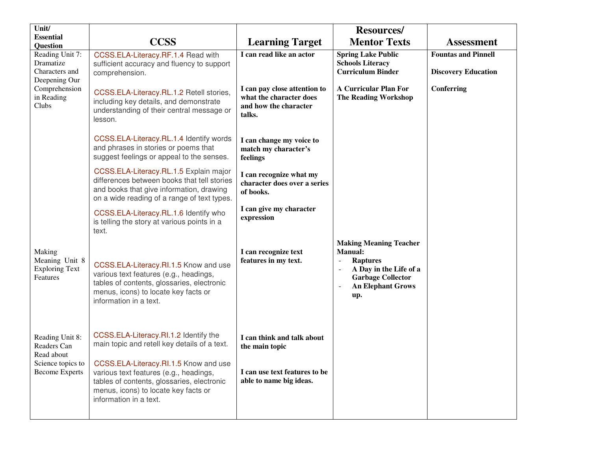| Unit/<br><b>Essential</b>                                     |                                                                                                                                                                                                 |                                                                                            | <b>Resources/</b>                                                                                                                                                                       |                            |
|---------------------------------------------------------------|-------------------------------------------------------------------------------------------------------------------------------------------------------------------------------------------------|--------------------------------------------------------------------------------------------|-----------------------------------------------------------------------------------------------------------------------------------------------------------------------------------------|----------------------------|
| <b>Question</b>                                               | <b>CCSS</b>                                                                                                                                                                                     | <b>Learning Target</b>                                                                     | <b>Mentor Texts</b>                                                                                                                                                                     | <b>Assessment</b>          |
| Reading Unit 7:                                               | CCSS.ELA-Literacy.RF.1.4 Read with                                                                                                                                                              | I can read like an actor                                                                   | <b>Spring Lake Public</b>                                                                                                                                                               | <b>Fountas and Pinnell</b> |
| Dramatize<br>Characters and<br>Deepening Our                  | sufficient accuracy and fluency to support<br>comprehension.                                                                                                                                    |                                                                                            | <b>Schools Literacy</b><br><b>Curriculum Binder</b>                                                                                                                                     | <b>Discovery Education</b> |
| Comprehension<br>in Reading<br>Clubs                          | CCSS.ELA-Literacy.RL.1.2 Retell stories,<br>including key details, and demonstrate<br>understanding of their central message or<br>lesson.                                                      | I can pay close attention to<br>what the character does<br>and how the character<br>talks. | <b>A Curricular Plan For</b><br><b>The Reading Workshop</b>                                                                                                                             | Conferring                 |
|                                                               | CCSS.ELA-Literacy.RL.1.4 Identify words<br>and phrases in stories or poems that<br>suggest feelings or appeal to the senses.                                                                    | I can change my voice to<br>match my character's<br>feelings                               |                                                                                                                                                                                         |                            |
|                                                               | CCSS.ELA-Literacy.RL.1.5 Explain major<br>differences between books that tell stories<br>and books that give information, drawing<br>on a wide reading of a range of text types.                | I can recognize what my<br>character does over a series<br>of books.                       |                                                                                                                                                                                         |                            |
|                                                               | CCSS.ELA-Literacy.RL.1.6 Identify who<br>is telling the story at various points in a<br>text.                                                                                                   | I can give my character<br>expression                                                      |                                                                                                                                                                                         |                            |
| Making<br>Meaning Unit 8<br><b>Exploring Text</b><br>Features | CCSS.ELA-Literacy.RI.1.5 Know and use<br>various text features (e.g., headings,<br>tables of contents, glossaries, electronic<br>menus, icons) to locate key facts or<br>information in a text. | I can recognize text<br>features in my text.                                               | <b>Making Meaning Teacher</b><br><b>Manual:</b><br><b>Raptures</b><br>$\overline{\phantom{a}}$<br>A Day in the Life of a<br><b>Garbage Collector</b><br><b>An Elephant Grows</b><br>up. |                            |
| Reading Unit 8:<br>Readers Can                                | CCSS.ELA-Literacy.RI.1.2 Identify the<br>main topic and retell key details of a text.                                                                                                           | I can think and talk about<br>the main topic                                               |                                                                                                                                                                                         |                            |
| Read about<br>Science topics to<br><b>Become Experts</b>      | CCSS.ELA-Literacy.RI.1.5 Know and use<br>various text features (e.g., headings,<br>tables of contents, glossaries, electronic<br>menus, icons) to locate key facts or<br>information in a text. | I can use text features to be<br>able to name big ideas.                                   |                                                                                                                                                                                         |                            |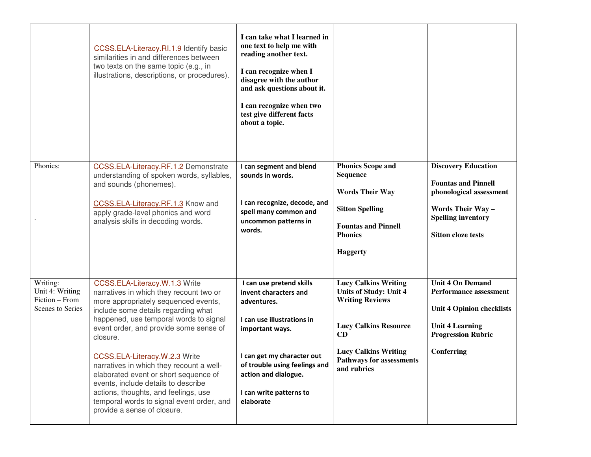|                                                                   | CCSS.ELA-Literacy.RI.1.9 Identify basic<br>similarities in and differences between<br>two texts on the same topic (e.g., in<br>illustrations, descriptions, or procedures).                                                                                                                                                                                                                                                                                                                                                              | I can take what I learned in<br>one text to help me with<br>reading another text.<br>I can recognize when I<br>disagree with the author<br>and ask questions about it.<br>I can recognize when two<br>test give different facts<br>about a topic. |                                                                                                                                                                                                               |                                                                                                                                                                    |
|-------------------------------------------------------------------|------------------------------------------------------------------------------------------------------------------------------------------------------------------------------------------------------------------------------------------------------------------------------------------------------------------------------------------------------------------------------------------------------------------------------------------------------------------------------------------------------------------------------------------|---------------------------------------------------------------------------------------------------------------------------------------------------------------------------------------------------------------------------------------------------|---------------------------------------------------------------------------------------------------------------------------------------------------------------------------------------------------------------|--------------------------------------------------------------------------------------------------------------------------------------------------------------------|
| Phonics:                                                          | CCSS.ELA-Literacy.RF.1.2 Demonstrate<br>understanding of spoken words, syllables,<br>and sounds (phonemes).<br>CCSS.ELA-Literacy.RF.1.3 Know and<br>apply grade-level phonics and word<br>analysis skills in decoding words.                                                                                                                                                                                                                                                                                                             | I can segment and blend<br>sounds in words.<br>I can recognize, decode, and<br>spell many common and<br>uncommon patterns in<br>words.                                                                                                            | <b>Phonics Scope and</b><br><b>Sequence</b><br><b>Words Their Way</b><br><b>Sitton Spelling</b><br><b>Fountas and Pinnell</b><br><b>Phonics</b><br><b>Haggerty</b>                                            | <b>Discovery Education</b><br><b>Fountas and Pinnell</b><br>phonological assessment<br>Words Their Way -<br><b>Spelling inventory</b><br><b>Sitton cloze tests</b> |
| Writing:<br>Unit 4: Writing<br>Fiction - From<br>Scenes to Series | CCSS.ELA-Literacy.W.1.3 Write<br>narratives in which they recount two or<br>more appropriately sequenced events,<br>include some details regarding what<br>happened, use temporal words to signal<br>event order, and provide some sense of<br>closure.<br>CCSS.ELA-Literacy.W.2.3 Write<br>narratives in which they recount a well-<br>elaborated event or short sequence of<br>events, include details to describe<br>actions, thoughts, and feelings, use<br>temporal words to signal event order, and<br>provide a sense of closure. | I can use pretend skills<br>invent characters and<br>adventures.<br>I can use illustrations in<br>important ways.<br>I can get my character out<br>of trouble using feelings and<br>action and dialogue.<br>I can write patterns to<br>elaborate  | <b>Lucy Calkins Writing</b><br><b>Units of Study: Unit 4</b><br><b>Writing Reviews</b><br><b>Lucy Calkins Resource</b><br>CD<br><b>Lucy Calkins Writing</b><br><b>Pathways for assessments</b><br>and rubrics | <b>Unit 4 On Demand</b><br><b>Performance assessment</b><br><b>Unit 4 Opinion checklists</b><br><b>Unit 4 Learning</b><br><b>Progression Rubric</b><br>Conferring  |